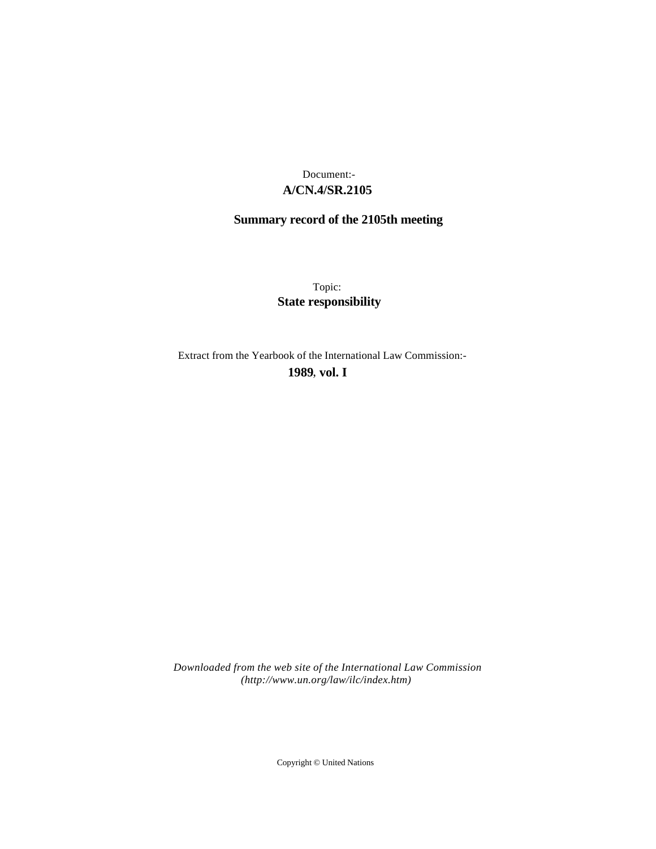# **A/CN.4/SR.2105** Document:-

# **Summary record of the 2105th meeting**

Topic: **State responsibility**

Extract from the Yearbook of the International Law Commission:-

**1989** , **vol. I**

*Downloaded from the web site of the International Law Commission (http://www.un.org/law/ilc/index.htm)*

Copyright © United Nations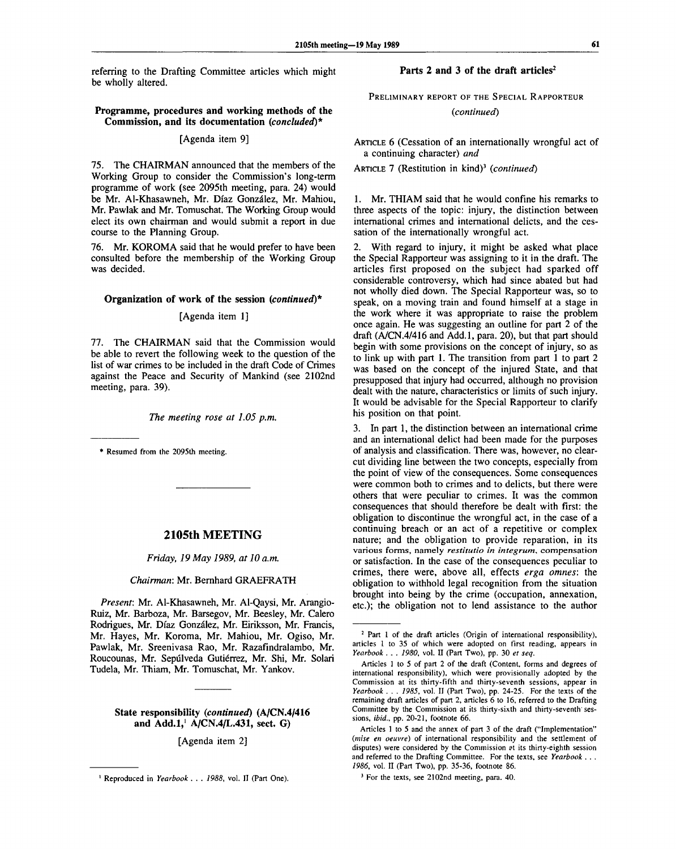referring to the Drafting Committee articles which might be wholly altered.

# **Parts 2 and 3 of the draft articles<sup>2</sup>**

PRELIMINARY REPORT OF THE SPECIAL RAPPORTEUR

*(continued)*

ARTICLE 6 (Cessation of an internationally wrongful act of a continuing character) *and*

ARTICLE 7 (Restitution in kind)<sup>3</sup> (continued)

1. Mr. THIAM said that he would confine his remarks to three aspects of the topic: injury, the distinction between international crimes and international delicts, and the cessation of the internationally wrongful act.

2. With regard to injury, it might be asked what place the Special Rapporteur was assigning to it in the draft. The articles first proposed on the subject had sparked off considerable controversy, which had since abated but had not wholly died down. The Special Rapporteur was, so to speak, on a moving train and found himself at a stage in the work where it was appropriate to raise the problem once again. He was suggesting an outline for part 2 of the draft (A/CN.4/416 and Add.l, para. 20), but that part should begin with some provisions on the concept of injury, so as to link up with part 1. The transition from part 1 to part 2 was based on the concept of the injured State, and that presupposed that injury had occurred, although no provision dealt with the nature, characteristics or limits of such injury. It would be advisable for the Special Rapporteur to clarify his position on that point.

3. In part 1, the distinction between an international crime and an international delict had been made for the purposes of analysis and classification. There was, however, no clearcut dividing line between the two concepts, especially from the point of view of the consequences. Some consequences were common both to crimes and to delicts, but there were others that were peculiar to crimes. It was the common consequences that should therefore be dealt with first: the obligation to discontinue the wrongful act, in the case of a continuing breach or an act of a repetitive or complex nature; and the obligation to provide reparation, in its various forms, namely *restitutio in integrum,* compensation or satisfaction. In the case of the consequences peculiar to crimes, there were, above all, effects *erga omnes:* the obligation to withhold legal recognition from the situation brought into being by the crime (occupation, annexation, etc.); the obligation not to lend assistance to the author

<sup>3</sup> For the texts, see 2102nd meeting, para. 40.

## **Programme, procedures and working methods of the Commission, and its documentation** *(concluded)\**

# [Agenda item 9]

75. The CHAIRMAN announced that the members of the Working Group to consider the Commission's long-term programme of work (see 2095th meeting, para. 24) would be Mr. Al-Khasawneh, Mr. Diaz Gonzalez, Mr. Mahiou, Mr. Pawlak and Mr. Tomuschat. The Working Group would elect its own chairman and would submit a report in due course to the Planning Group.

76. Mr. KOROMA said that he would prefer to have been consulted before the membership of the Working Group was decided.

#### **Organization of work of the session** *(continued)\**

### [Agenda item 1]

77. The CHAIRMAN said that the Commission would be able to revert the following week to the question of the list of war crimes to be included in the draft Code of Crimes against the Peace and Security of Mankind (see 2102nd meeting, para. 39).

*The meeting rose at 1.05 p.m.*

*\** Resumed from the 2095th meeting.

#### **2105th MEETING**

*Friday, 19 May 1989, at 10 a.m.*

#### *Chairman:* Mr. Bernhard GRAEFRATH

*Present:* Mr. Al-Khasawneh, Mr. Al-Qaysi, Mr. Arangio-Ruiz, Mr. Barboza, Mr. Barsegov, Mr. Beesley, Mr. Calero Rodrigues, Mr. Diaz Gonzalez, Mr. Eiriksson, Mr. Francis, Mr. Hayes, Mr. Koroma, Mr. Mahiou, Mr. Ogiso, Mr. Pawlak, Mr. Sreenivasa Rao, Mr. Razafindralambo, Mr. Roucounas, Mr. Sepúlveda Gutiérrez, Mr. Shi, Mr. Solari Tudela, Mr. Thiam, Mr. Tomuschat, Mr. Yankov.

# **State** responsibility *(continued)* **(A/CN.4/416 and Add.l,<sup>1</sup> A/CN.4/L.431, sect. G)**

[Agenda item 2]

<sup>&</sup>lt;sup>2</sup> Part 1 of the draft articles (Origin of international responsibility), articles 1 to 35 of which were adopted on first reading, appears in *Yearbook . . . 1980,* vol. II (Part Two), pp. 30 *et seq.*

Articles 1 to 5 of part 2 of the draft (Content, forms and degrees of international responsibility), which were provisionally adopted by the Commission at its thirty-fifth and thirty-seventh sessions, appear in *Yearbook . . . 1985,* vol. II (Part Two), pp. 24-25. For the texts of the remaining draft articles of part 2, articles 6 to 16, referred to the Drafting Committee by the Commission at its thirty-sixth and thirty-seventh sessions, *ibid.,* pp. 20-21, footnote 66.

Articles 1 to 5 and the annex of part 3 of the draft ("Implementation" *(mise en oeuvre)* of international responsibility and the settlement of disputes) were considered by the Commission at its thirty-eighth session and referred to the Drafting Committee. For the texts, see *Yearbook . . . 1986,* vol. II (Part Two), pp. 35-36, footnote 86.

Reproduced in *Yearbook . .* . *1988,* vol. II (Part One).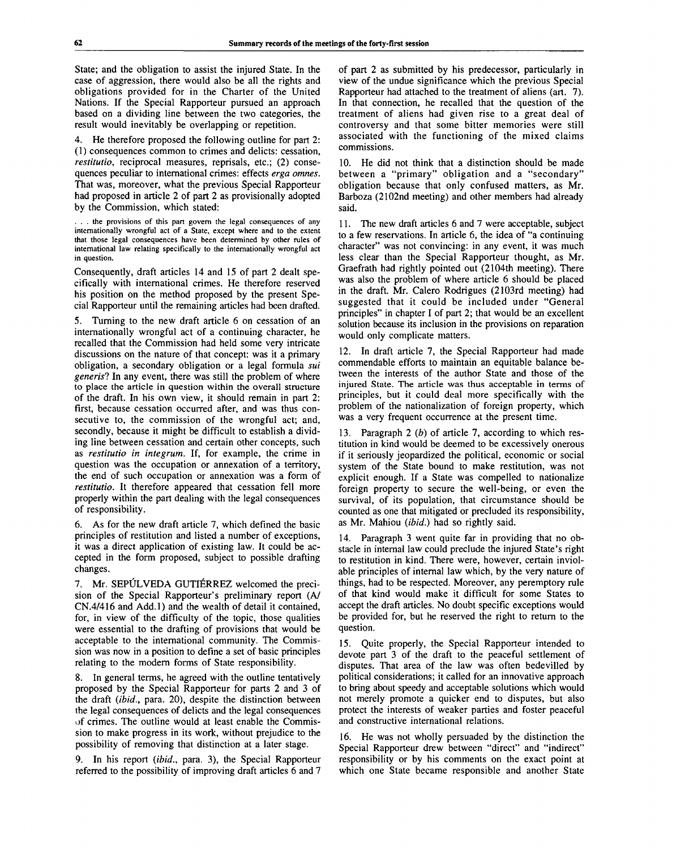State; and the obligation to assist the injured State. In the case of aggression, there would also be all the rights and obligations provided for in the Charter of the United Nations. If the Special Rapporteur pursued an approach based on a dividing line between the two categories, the result would inevitably be overlapping or repetition.

4. He therefore proposed the following outline for part 2: (1) consequences common to crimes and delicts: cessation, *restitutio,* reciprocal measures, reprisals, etc.; (2) consequences peculiar to international crimes: effects *erga omnes.* That was, moreover, what the previous Special Rapporteur had proposed in article 2 of part 2 as provisionally adopted by the Commission, which stated:

. . . the provisions of this part govern the legal consequences of any internationally wrongful act of a State, except where and to the extent that those legal consequences have been determined by other rules of international law relating specifically to the internationally wrongful act in question.

Consequently, draft articles 14 and 15 of part 2 dealt specifically with international crimes. He therefore reserved his position on the method proposed by the present Special Rapporteur until the remaining articles had been drafted.

5. Turning to the new draft article 6 on cessation of an internationally wrongful act of a continuing character, he recalled that the Commission had held some very intricate discussions on the nature of that concept: was it a primary obligation, a secondary obligation or a legal formula *sui generis?* In any event, there was still the problem of where to place the article in question within the overall structure of the draft. In his own view, it should remain in part 2: first, because cessation occurred after, and was thus consecutive to, the commission of the wrongful act; and, secondly, because it might be difficult to establish a dividing line between cessation and certain other concepts, such as *restitutio in integrum.* If, for example, the crime in question was the occupation or annexation of a territory, the end of such occupation or annexation was a form of *restitutio.* It therefore appeared that cessation fell more properly within the part dealing with the legal consequences of responsibility.

6. As for the new draft article 7, which defined the basic principles of restitution and listed a number of exceptions, it was a direct application of existing law. It could be accepted in the form proposed, subject to possible drafting changes.

7. Mr. SEPULVEDA GUTIERREZ welcomed the precision of the Special Rapporteur's preliminary report (A/ CN.4/416 and Add.l) and the wealth of detail it contained, for, in view of the difficulty of the topic, those qualities were essential to the drafting of provisions that would be acceptable to the international community. The Commission was now in a position to define a set of basic principles relating to the modern forms of State responsibility.

8. In general terms, he agreed with the outline tentatively proposed by the Special Rapporteur for parts 2 and 3 of the draft *(ibid.,* para. 20), despite the distinction between the legal consequences of delicts and the legal consequences of crimes. The outline would at least enable the Commission to make progress in its work, without prejudice to the possibility of removing that distinction at a later stage.

9. In his report *(ibid.,* para. 3), the Special Rapporteur referred to the possibility of improving draft articles 6 and 7 of part 2 as submitted by his predecessor, particularly in view of the undue significance which the previous Special Rapporteur had attached to the treatment of aliens (art. 7). In that connection, he recalled that the question of the treatment of aliens had given rise to a great deal of controversy and that some bitter memories were still associated with the functioning of the mixed claims commissions.

10. He did not think that a distinction should be made between a "primary" obligation and a "secondary" obligation because that only confused matters, as Mr. Barboza (2102nd meeting) and other members had already said.

11. The new draft articles 6 and 7 were acceptable, subject to a few reservations. In article 6, the idea of "a continuing character" was not convincing: in any event, it was much less clear than the Special Rapporteur thought, as Mr. Graefrath had rightly pointed out (2104th meeting). There was also the problem of where article 6 should be placed in the draft. Mr. Calero Rodrigues (2103rd meeting) had suggested that it could be included under "General principles" in chapter I of part 2; that would be an excellent solution because its inclusion in the provisions on reparation would only complicate matters.

12. In draft article 7, the Special Rapporteur had made commendable efforts to maintain an equitable balance between the interests of the author State and those of the injured State. The article was thus acceptable in terms of principles, but it could deal more specifically with the problem of the nationalization of foreign property, which was a very frequent occurrence at the present time.

13. Paragraph 2 *(b)* of article 7, according to which restitution in kind would be deemed to be excessively onerous if it seriously jeopardized the political, economic or social system of the State bound to make restitution, was not explicit enough. If a State was compelled to nationalize foreign property to secure the well-being, or even the survival, of its population, that circumstance should be counted as one that mitigated or precluded its responsibility, as Mr. Mahiou *(ibid.)* had so rightly said.

14. Paragraph 3 went quite far in providing that no obstacle in internal law could preclude the injured State's right to restitution in kind. There were, however, certain inviolable principles of internal law which, by the very nature of things, had to be respected. Moreover, any peremptory rule of that kind would make it difficult for some States to accept the draft articles. No doubt specific exceptions would be provided for, but he reserved the right to return to the question.

15. Quite properly, the Special Rapporteur intended to devote part 3 of the draft to the peaceful settlement of disputes. That area of the law was often bedevilled by political considerations; it called for an innovative approach to bring about speedy and acceptable solutions which would not merely promote a quicker end to disputes, but also protect the interests of weaker parties and foster peaceful and constructive international relations.

16. He was not wholly persuaded by the distinction the Special Rapporteur drew between "direct" and "indirect" responsibility or by his comments on the exact point at which one State became responsible and another State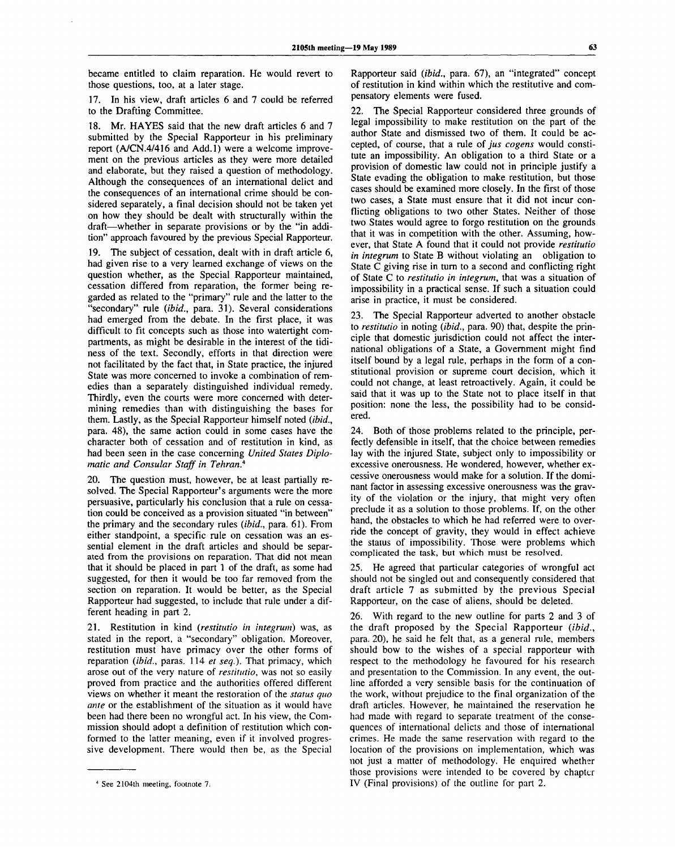became entitled to claim reparation. He would revert to those questions, too, at a later stage.

17. In his view, draft articles 6 and 7 could be referred to the Drafting Committee.

18. Mr. HAYES said that the new draft articles 6 and 7 submitted by the Special Rapporteur in his preliminary report (A/CN.4/416 and Add.l) were a welcome improvement on the previous articles as they were more detailed and elaborate, but they raised a question of methodology. Although the consequences of an international delict and the consequences of an international crime should be considered separately, a final decision should not be taken yet on how they should be dealt with structurally within the draft—whether in separate provisions or by the "in addition" approach favoured by the previous Special Rapporteur.

19. The subject of cessation, dealt with in draft article 6, had given rise to a very learned exchange of views on the question whether, as the Special Rapporteur maintained, cessation differed from reparation, the former being regarded as related to the "primary" rule and the latter to the "secondary" rule *(ibid.,* para. 31). Several considerations had emerged from the debate. In the first place, it was difficult to fit concepts such as those into watertight compartments, as might be desirable in the interest of the tidiness of the text. Secondly, efforts in that direction were not facilitated by the fact that, in State practice, the injured State was more concerned to invoke a combination of remedies than a separately distinguished individual remedy. Thirdly, even the courts were more concerned with determining remedies than with distinguishing the bases for them. Lastly, as the Special Rapporteur himself noted *(ibid.,* para. 48), the same action could in some cases have the character both of cessation and of restitution in kind, as had been seen in the case concerning *United States Diplomatic and Consular Staff in Tehran.<sup>4</sup>*

20. The question must, however, be at least partially resolved. The Special Rapporteur's arguments were the more persuasive, particularly his conclusion that a rule on cessation could be conceived as a provision situated "in between" the primary and the secondary rules *(ibid.,* para. 61). From either standpoint, a specific rule on cessation was an essential element in the draft articles and should be separated from the provisions on reparation. That did not mean that it should be placed in part 1 of the draft, as some had suggested, for then it would be too far removed from the section on reparation. It would be better, as the Special Rapporteur had suggested, to include that rule under a different heading in part 2.

21. Restitution in kind *(restitutio in integrum)* was, as stated in the report, a "secondary" obligation. Moreover, restitution must have primacy over the other forms of reparation *(ibid.,* paras. 114 *et seq.).* That primacy, which arose out of the very nature of *restitutio,* was not so easily proved from practice and the authorities offered different views on whether it meant the restoration of the *status quo ante* or the establishment of the situation as it would have been had there been no wrongful act. In his view, the Commission should adopt a definition of restitution which conformed to the latter meaning, even if it involved progressive development. There would then be, as the Special Rapporteur said *(ibid.,* para. 67), an "integrated" concept of restitution in kind within which the restitutive and compensatory elements were fused.

22. The Special Rapporteur considered three grounds of legal impossibility to make restitution on the part of the author State and dismissed two of them. It could be accepted, of course, that a rule of *jus cogens* would constitute an impossibility. An obligation to a third State or a provision of domestic law could not in principle justify a State evading the obligation to make restitution, but those cases should be examined more closely. In the first of those two cases, a State must ensure that it did not incur conflicting obligations to two other States. Neither of those two States would agree to forgo restitution on the grounds that it was in competition with the other. Assuming, however, that State A found that it could not provide *restitutio in integrum* to State B without violating an obligation to State C giving rise in turn to a second and conflicting right of State C to *restitutio in integrum,* that was a situation of impossibility in a practical sense. If such a situation could arise in practice, it must be considered.

23. The Special Rapporteur adverted to another obstacle to *restitutio* in noting *(ibid.,* para. 90) that, despite the principle that domestic jurisdiction could not affect the international obligations of a State, a Government might find itself bound by a legal rule, perhaps in the form of a constitutional provision or supreme court decision, which it could not change, at least retroactively. Again, it could be said that it was up to the State not to place itself in that position: none the less, the possibility had to be considered.

24. Both of those problems related to the principle, perfectly defensible in itself, that the choice between remedies lay with the injured State, subject only to impossibility or excessive onerousness. He wondered, however, whether excessive onerousness would make for a solution. If the dominant factor in assessing excessive onerousness was the gravity of the violation or the injury, that might very often preclude it as a solution to those problems. If, on the other hand, the obstacles to which he had referred were to override the concept of gravity, they would in effect achieve the status of impossibility. Those were problems which complicated the task, but which must be resolved.

25. He agreed that particular categories of wrongful act should not be singled out and consequently considered that draft article 7 as submitted by the previous Special Rapporteur, on the case of aliens, should be deleted.

26. With regard to the new outline for parts 2 and 3 of the draft proposed by the Special Rapporteur *(ibid.,* para. 20), he said he felt that, as a general rule, members should bow to the wishes of a special rapporteur with respect to the methodology he favoured for his research and presentation to the Commission. In any event, the outline afforded a very sensible basis for the continuation of the work, without prejudice to the final organization of the draft articles. However, he maintained the reservation he had made with regard to separate treatment of the consequences of international delicts and those of international crimes. He made the same reservation with regard to the location of the provisions on implementation, which was not just a matter of methodology. He enquired whether those provisions were intended to be covered by chapter IV (Final provisions) of the outline for part 2.

See 2104th meeting, footnote 7.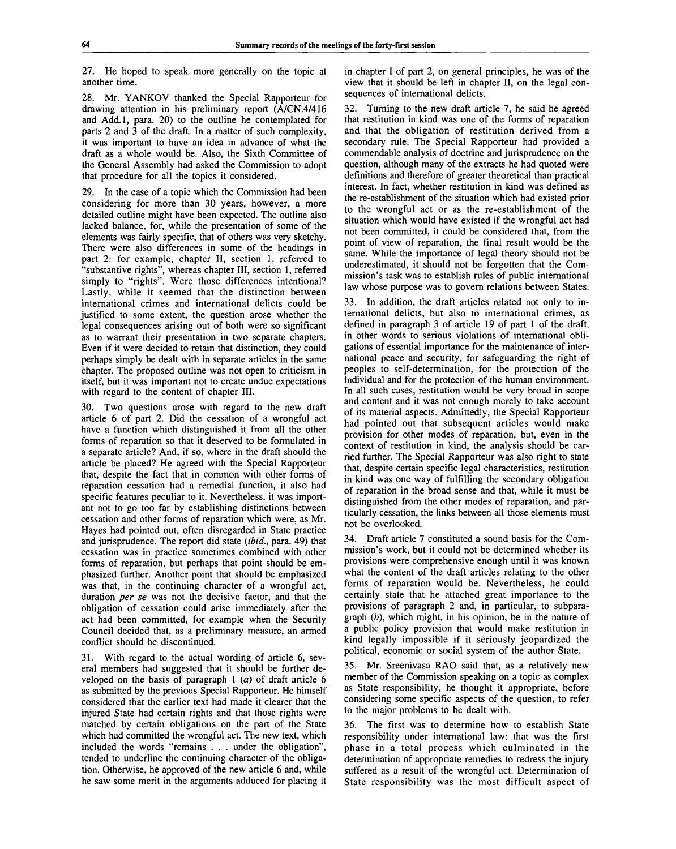27. He hoped to speak more generally on the topic at another time.

28. Mr. YANKOV thanked the Special Rapporteur for drawing attention in his preliminary report (A/CN.4/416 and Add.l, para. 20) to the outline he contemplated for parts 2 and 3 of the draft. In a matter of such complexity, it was important to have an idea in advance of what the draft as a whole would be. Also, the Sixth Committee of the General Assembly had asked the Commission to adopt that procedure for all the topics it considered.

29. In the case of a topic which the Commission had been considering for more than 30 years, however, a more detailed outline might have been expected. The outline also lacked balance, for, while the presentation of some of the elements was fairly specific, that of others was very sketchy. There were also differences in some of the headings in part 2: for example, chapter II, section 1, referred to "substantive rights", whereas chapter III, section 1, referred simply to "rights". Were those differences intentional? Lastly, while it seemed that the distinction between international crimes and international delicts could be justified to some extent, the question arose whether the legal consequences arising out of both were so significant as to warrant their presentation in two separate chapters. Even if it were decided to retain that distinction, they could perhaps simply be dealt with in separate articles in the same chapter. The proposed outline was not open to criticism in itself, but it was important not to create undue expectations with regard to the content of chapter III.

Two questions arose with regard to the new draft article 6 of part 2. Did the cessation of a wrongful act have a function which distinguished it from all the other forms of reparation so that it deserved to be formulated in a separate article? And, if so, where in the draft should the article be placed? He agreed with the Special Rapporteur that, despite the fact that in common with other forms of reparation cessation had a remedial function, it also had specific features peculiar to it. Nevertheless, it was important not to go too far by establishing distinctions between cessation and other forms of reparation which were, as Mr. Hayes had pointed out, often disregarded in State practice and jurisprudence. The report did state *(ibid.,* para. 49) that cessation was in practice sometimes combined with other forms of reparation, but perhaps that point should be emphasized further. Another point that should be emphasized was that, in the continuing character of a wrongful act, duration *per se* was not the decisive factor, and that the obligation of cessation could arise immediately after the act had been committed, for example when the Security Council decided that, as a preliminary measure, an armed conflict should be discontinued.

31. With regard to the actual wording of article 6, several members had suggested that it should be further developed on the basis of paragraph  $1$  ( $a$ ) of draft article  $6$ as submitted by the previous Special Rapporteur. He himself considered that the earlier text had made it clearer that the injured State had certain rights and that those rights were matched by certain obligations on the part of the State which had committed the wrongful act. The new text, which included the words "remains . . . under the obligation", tended to underline the continuing character of the obligation. Otherwise, he approved of the new article 6 and, while he saw some merit in the arguments adduced for placing it

in chapter I of part 2, on general principles, he was of the view that it should be left in chapter II, on the legal consequences of international delicts.

32. Turning to the new draft article 7, he said he agreed that restitution in kind was one of the forms of reparation and that the obligation of restitution derived from a secondary rule. The Special Rapporteur had provided a commendable analysis of doctrine and jurisprudence on the question, although many of the extracts he had quoted were definitions and therefore of greater theoretical than practical interest. In fact, whether restitution in kind was defined as the re-establishment of the situation which had existed prior to the wrongful act or as the re-establishment of the situation which would have existed if the wrongful act had not been committed, it could be considered that, from the point of view of reparation, the final result would be the same. While the importance of legal theory should not be underestimated, it should not be forgotten that the Commission's task was to establish rules of public international law whose purpose was to govern relations between States.

33. In addition, the draft articles related not only to international delicts, but also to international crimes, as defined in paragraph 3 of article 19 of part 1 of the draft, in other words to serious violations of international obligations of essential importance for the maintenance of international peace and security, for safeguarding the right of peoples to self-determination, for the protection of the individual and for the protection of the human environment. In all such cases, restitution would be very broad in scope and content and it was not enough merely to take account of its material aspects. Admittedly, the Special Rapporteur had pointed out that subsequent articles would make provision for other modes of reparation, but, even in the context of restitution in kind, the analysis should be carried further. The Special Rapporteur was also right to state that, despite certain specific legal characteristics, restitution in kind was one way of fulfilling the secondary obligation of reparation in the broad sense and that, while it must be distinguished from the other modes of reparation, and particularly cessation, the links between all those elements must not be overlooked.

34. Draft article 7 constituted a sound basis for the Commission's work, but it could not be determined whether its provisions were comprehensive enough until it was known what the content of the draft articles relating to the other forms of reparation would be. Nevertheless, he could certainly state that he attached great importance to the provisions of paragraph 2 and, in particular, to subparagraph *(b),* which might, in his opinion, be in the nature of a public policy provision that would make restitution in kind legally impossible if it seriously jeopardized the political, economic or social system of the author State.

35. Mr. Sreenivasa RAO said that, as a relatively new member of the Commission speaking on a topic as complex as State responsibility, he thought it appropriate, before considering some specific aspects of the question, to refer to the major problems to be dealt with.

36. The first was to determine how to establish State responsibility under international law: that was the first phase in a total process which culminated in the determination of appropriate remedies to redress the injury suffered as a result of the wrongful act. Determination of State responsibility was the most difficult aspect of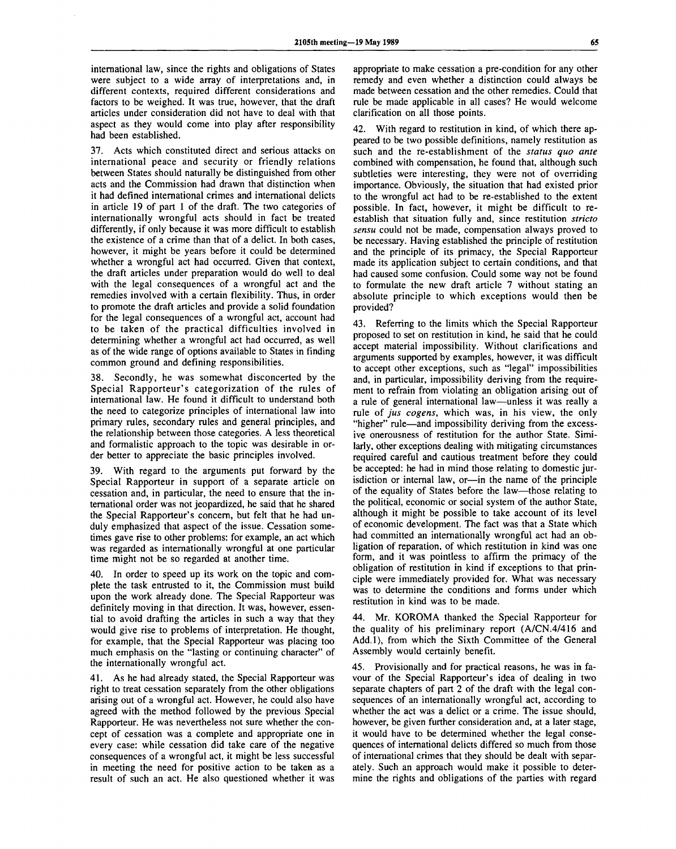international law, since the rights and obligations of States were subject to a wide array of interpretations and, in different contexts, required different considerations and factors to be weighed. It was true, however, that the draft articles under consideration did not have to deal with that aspect as they would come into play after responsibility had been established.

37. Acts which constituted direct and serious attacks on international peace and security or friendly relations between States should naturally be distinguished from other acts and the Commission had drawn that distinction when it had defined international crimes and international delicts in article 19 of part 1 of the draft. The two categories of internationally wrongful acts should in fact be treated differently, if only because it was more difficult to establish the existence of a crime than that of a delict. In both cases, however, it might be years before it could be determined whether a wrongful act had occurred. Given that context, the draft articles under preparation would do well to deal with the legal consequences of a wrongful act and the remedies involved with a certain flexibility. Thus, in order to promote the draft articles and provide a solid foundation for the legal consequences of a wrongful act, account had to be taken of the practical difficulties involved in determining whether a wrongful act had occurred, as well as of the wide range of options available to States in finding common ground and defining responsibilities.

38. Secondly, he was somewhat disconcerted by the Special Rapporteur's categorization of the rules of international law. He found it difficult to understand both the need to categorize principles of international law into primary rules, secondary rules and general principles, and the relationship between those categories. A less theoretical and formalistic approach to the topic was desirable in order better to appreciate the basic principles involved.

39. With regard to the arguments put forward by the Special Rapporteur in support of a separate article on cessation and, in particular, the need to ensure that the international order was not jeopardized, he said that he shared the Special Rapporteur's concern, but felt that he had unduly emphasized that aspect of the issue. Cessation sometimes gave rise to other problems: for example, an act which was regarded as internationally wrongful at one particular time might not be so regarded at another time.

40. In order to speed up its work on the topic and complete the task entrusted to it, the Commission must build upon the work already done. The Special Rapporteur was definitely moving in that direction. It was, however, essential to avoid drafting the articles in such a way that they would give rise to problems of interpretation. He thought, for example, that the Special Rapporteur was placing too much emphasis on the "lasting or continuing character" of the internationally wrongful act.

As he had already stated, the Special Rapporteur was right to treat cessation separately from the other obligations arising out of a wrongful act. However, he could also have agreed with the method followed by the previous Special Rapporteur. He was nevertheless not sure whether the concept of cessation was a complete and appropriate one in every case: while cessation did take care of the negative consequences of a wrongful act, it might be less successful in meeting the need for positive action to be taken as a result of such an act. He also questioned whether it was appropriate to make cessation a pre-condition for any other remedy and even whether a distinction could always be made between cessation and the other remedies. Could that rule be made applicable in all cases? He would welcome clarification on all those points.

42. With regard to restitution in kind, of which there appeared to be two possible definitions, namely restitution as such and the re-establishment of the *status quo ante* combined with compensation, he found that, although such subtleties were interesting, they were not of overriding importance. Obviously, the situation that had existed prior to the wrongful act had to be re-established to the extent possible. In fact, however, it might be difficult to reestablish that situation fully and, since restitution *stricto sensu* could not be made, compensation always proved to be necessary. Having established the principle of restitution and the principle of its primacy, the Special Rapporteur made its application subject to certain conditions, and that had caused some confusion. Could some way not be found to formulate the new draft article 7 without stating an absolute principle to which exceptions would then be provided?

43. Referring to the limits which the Special Rapporteur proposed to set on restitution in kind, he said that he could accept material impossibility. Without clarifications and arguments supported by examples, however, it was difficult to accept other exceptions, such as "legal" impossibilities and, in particular, impossibility deriving from the requirement to refrain from violating an obligation arising out of a rule of general international law—unless it was really a rule of *jus cogens,* which was, in his view, the only "higher" rule—and impossibility deriving from the excessive onerousness of restitution for the author State. Similarly, other exceptions dealing with mitigating circumstances required careful and cautious treatment before they could be accepted: he had in mind those relating to domestic jurisdiction or internal law, or—in the name of the principle of the equality of States before the law—those relating to the political, economic or social system of the author State, although it might be possible to take account of its level of economic development. The fact was that a State which had committed an internationally wrongful act had an obligation of reparation, of which restitution in kind was one form, and it was pointless to affirm the primacy of the obligation of restitution in kind if exceptions to that principle were immediately provided for. What was necessary was to determine the conditions and forms under which restitution in kind was to be made.

44. Mr. KOROMA thanked the Special Rapporteur for the quality of his preliminary report (A/CN.4/416 and Add.l), from which the Sixth Committee of the General Assembly would certainly benefit.

45. Provisionally and for practical reasons, he was in favour of the Special Rapporteur's idea of dealing in two separate chapters of part 2 of the draft with the legal consequences of an internationally wrongful act, according to whether the act was a delict or a crime. The issue should, however, be given further consideration and, at a later stage, it would have to be determined whether the legal consequences of international delicts differed so much from those of international crimes that they should be dealt with separately. Such an approach would make it possible to determine the rights and obligations of the parties with regard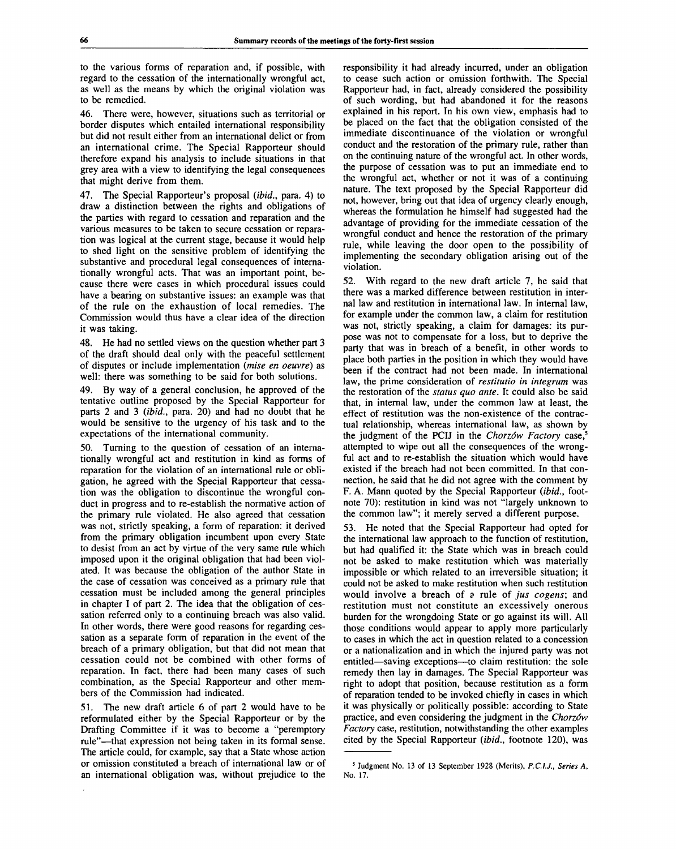to the various forms of reparation and, if possible, with regard to the cessation of the internationally wrongful act, as well as the means by which the original violation was to be remedied.

46. There were, however, situations such as territorial or border disputes which entailed international responsibility but did not result either from an international delict or from an international crime. The Special Rapporteur should therefore expand his analysis to include situations in that grey area with a view to identifying the legal consequences that might derive from them.

47. The Special Rapporteur's proposal *(ibid.,* para. 4) to draw a distinction between the rights and obligations of the parties with regard to cessation and reparation and the various measures to be taken to secure cessation or reparation was logical at the current stage, because it would help to shed light on the sensitive problem of identifying the substantive and procedural legal consequences of internationally wrongful acts. That was an important point, because there were cases in which procedural issues could have a bearing on substantive issues: an example was that of the rule on the exhaustion of local remedies. The Commission would thus have a clear idea of the direction it was taking.

48. He had no settled views on the question whether part 3 of the draft should deal only with the peaceful settlement of disputes or include implementation *(mise en oeuvre)* as well: there was something to be said for both solutions.

49. By way of a general conclusion, he approved of the tentative outline proposed by the Special Rapporteur for parts 2 and 3 *(ibid.,* para. 20) and had no doubt that he would be sensitive to the urgency of his task and to the expectations of the international community.

50. Turning to the question of cessation of an internationally wrongful act and restitution in kind as forms of reparation for the violation of an international rule or obligation, he agreed with the Special Rapporteur that cessation was the obligation to discontinue the wrongful conduct in progress and to re-establish the normative action of the primary rule violated. He also agreed that cessation was not, strictly speaking, a form of reparation: it derived from the primary obligation incumbent upon every State to desist from an act by virtue of the very same rule which imposed upon it the original obligation that had been violated. It was because the obligation of the author State in the case of cessation was conceived as a primary rule that cessation must be included among the general principles in chapter I of part 2. The idea that the obligation of cessation referred only to a continuing breach was also valid. In other words, there were good reasons for regarding cessation as a separate form of reparation in the event of the breach of a primary obligation, but that did not mean that cessation could not be combined with other forms of reparation. In fact, there had been many cases of such combination, as the Special Rapporteur and other members of the Commission had indicated.

51. The new draft article 6 of part 2 would have to be reformulated either by the Special Rapporteur or by the Drafting Committee if it was to become a "peremptory rule"—that expression not being taken in its formal sense. The article could, for example, say that a State whose action or omission constituted a breach of international law or of an international obligation was, without prejudice to the responsibility it had already incurred, under an obligation to cease such action or omission forthwith. The Special Rapporteur had, in fact, already considered the possibility of such wording, but had abandoned it for the reasons explained in his report. In his own view, emphasis had to be placed on the fact that the obligation consisted of the immediate discontinuance of the violation or wrongful conduct and the restoration of the primary rule, rather than on the continuing nature of the wrongful act. In other words, the purpose of cessation was to put an immediate end to the wrongful act, whether or not it was of a continuing nature. The text proposed by the Special Rapporteur did not, however, bring out that idea of urgency clearly enough, whereas the formulation he himself had suggested had the advantage of providing for the immediate cessation of the wrongful conduct and hence the restoration of the primary rule, while leaving the door open to the possibility of implementing the secondary obligation arising out of the violation.

52. With regard to the new draft article 7, he said that there was a marked difference between restitution in internal law and restitution in international law. In internal law, for example under the common law, a claim for restitution was not, strictly speaking, a claim for damages: its purpose was not to compensate for a loss, but to deprive the party that was in breach of a benefit, in other words to place both parties in the position in which they would have been if the contract had not been made. In international law, the prime consideration of *restitutio in integrum* was the restoration of the *status quo ante.* It could also be said that, in internal law, under the common law at least, the effect of restitution was the non-existence of the contractual relationship, whereas international law, as shown by the judgment of the PCIJ in the *Chorzów Factory* case,<sup>5</sup> attempted to wipe out all the consequences of the wrongful act and to re-establish the situation which would have existed if the breach had not been committed. In that connection, he said that he did not agree with the comment by F. A. Mann quoted by the Special Rapporteur *(ibid.,* footnote 70): restitution in kind was not "largely unknown to the common law"; it merely served a different purpose.

53. He noted that the Special Rapporteur had opted for the international law approach to the function of restitution, but had qualified it: the State which was in breach could not be asked to make restitution which was materially impossible or which related to an irreversible situation; it could not be asked to make restitution when such restitution would involve a breach of a rule of *jus cogens;* and restitution must not constitute an excessively onerous burden for the wrongdoing State or go against its will. All those conditions would appear to apply more particularly to cases in which the act in question related to a concession or a nationalization and in which the injured party was not entitled—saving exceptions—to claim restitution: the sole remedy then lay in damages. The Special Rapporteur was right to adopt that position, because restitution as a form of reparation tended to be invoked chiefly in cases in which it was physically or politically possible: according to State practice, and even considering the judgment in the *Chorzow Factory* case, restitution, notwithstanding the other examples cited by the Special Rapporteur *(ibid.,* footnote 120), was

<sup>&</sup>lt;sup>5</sup> Judgment No. 13 of 13 September 1928 (Merits), P.C.I.J., Series A, No. 17.